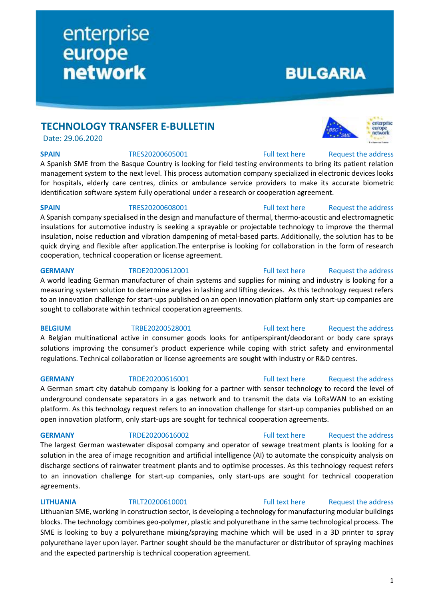# **BULGARIA**

# **TECHNOLOGY TRANSFER E-BULLETIN**

enterprise

**network** 

europe

Date: 29.06.2020

**SPAIN** TRES20200605001 [Full text here](https://een.ec.europa.eu/tools/services/PRO/Profile/Detail/02f6c722-7102-4e4e-95d8-ca03b48943b7) Request the address

A Spanish SME from the Basque Country is looking for field testing environments to bring its patient relation management system to the next level. This process automation company specialized in electronic devices looks for hospitals, elderly care centres, clinics or ambulance service providers to make its accurate biometric identification software system fully operational under a research or cooperation agreement.

**SPAIN** TRES20200608001 [Full text here](https://een.ec.europa.eu/tools/services/PRO/Profile/Detail/99be659e-7614-4f61-a752-28a80ae610e4) Request the address

A Spanish company specialised in the design and manufacture of thermal, thermo-acoustic and electromagnetic insulations for automotive industry is seeking a sprayable or projectable technology to improve the thermal insulation, noise reduction and vibration dampening of metal-based parts. Additionally, the solution has to be quick drying and flexible after application.The enterprise is looking for collaboration in the form of research cooperation, technical cooperation or license agreement.

A world leading German manufacturer of chain systems and supplies for mining and industry is looking for a measuring system solution to determine angles in lashing and lifting devices. As this technology request refers to an innovation challenge for start-ups published on an open innovation platform only start-up companies are sought to collaborate within technical cooperation agreements.

A Belgian multinational active in consumer goods looks for antiperspirant/deodorant or body care sprays solutions improving the consumer's product experience while coping with strict safety and environmental regulations. Technical collaboration or license agreements are sought with industry or R&D centres.

### **GERMANY** TRDE20200616001 [Full text here](https://een.ec.europa.eu/tools/services/PRO/Profile/Detail/4e357f45-3332-43f5-98dd-f7711b59a0e0) Request the address

A German smart city datahub company is looking for a partner with sensor technology to record the level of underground condensate separators in a gas network and to transmit the data via LoRaWAN to an existing platform. As this technology request refers to an innovation challenge for start-up companies published on an open innovation platform, only start-ups are sought for technical cooperation agreements.

The largest German wastewater disposal company and operator of sewage treatment plants is looking for a solution in the area of image recognition and artificial intelligence (AI) to automate the conspicuity analysis on discharge sections of rainwater treatment plants and to optimise processes. As this technology request refers to an innovation challenge for start-up companies, only start-ups are sought for technical cooperation agreements.

### **LITHUANIA** TRLT20200610001 [Full text here](https://een.ec.europa.eu/tools/services/PRO/Profile/Detail/299d836d-a303-4d84-b916-3193e951a5c7) Request [the address](http://www.een.bg/index.php?option=com_rsform&formId=13)

Lithuanian SME, working in construction sector, is developing a technology for manufacturing modular buildings blocks. The technology combines geo-polymer, plastic and polyurethane in the same technological process. The SME is looking to buy a polyurethane mixing/spraying machine which will be used in a 3D printer to spray polyurethane layer upon layer. Partner sought should be the manufacturer or distributor of spraying machines and the expected partnership is technical cooperation agreement.

enterprise europe

# **GERMANY** TRDE20200612001 [Full text here](https://een.ec.europa.eu/tools/services/PRO/Profile/Detail/bc6aa806-118f-43d6-a535-da3e7ed1d31b) Request [the address](http://www.een.bg/index.php?option=com_rsform&formId=13)

# **BELGIUM** TRBE20200528001 [Full text here](https://een.ec.europa.eu/tools/services/PRO/Profile/Detail/dbf9785a-a9c9-480a-a830-44f07f65dd8a) Request [the address](http://www.een.bg/index.php?option=com_rsform&formId=13)

# **GERMANY** TRDE20200616002 [Full text here](https://een.ec.europa.eu/tools/services/PRO/Profile/Detail/98578145-8fa0-4da9-af4e-05a3446c9f00) Request the address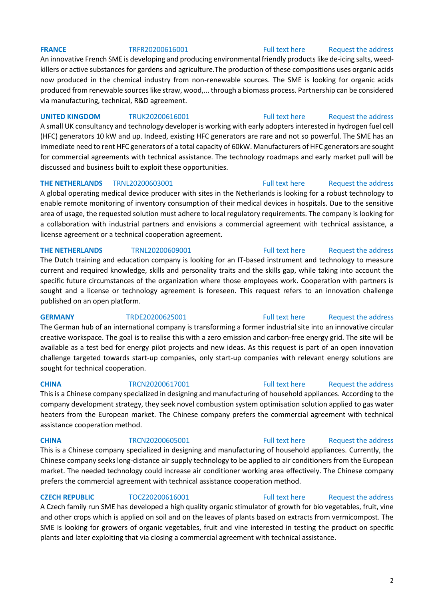### **FRANCE** TRFR20200616001 [Full text here](https://een.ec.europa.eu/tools/services/PRO/Profile/Detail/7f0a55d1-3a04-4d4b-9ea2-772e7398245e) Request [the address](http://www.een.bg/index.php?option=com_rsform&formId=13)

An innovative French SME is developing and producing environmental friendly products like de-icing salts, weedkillers or active substances for gardens and agriculture.The production of these compositions uses organic acids now produced in the chemical industry from non-renewable sources. The SME is looking for organic acids produced from renewable sources like straw, wood,... through a biomass process. Partnership can be considered via manufacturing, technical, R&D agreement.

### **UNITED KINGDOM** TRUK20200616001 [Full text here](https://een.ec.europa.eu/tools/services/PRO/Profile/Detail/ef378c63-544b-4e71-8ccc-1cbc6c4ee7d9) Request the address

A small UK consultancy and technology developer is working with early adopters interested in hydrogen fuel cell (HFC) generators 10 kW and up. Indeed, existing HFC generators are rare and not so powerful. The SME has an immediate need to rent HFC generators of a total capacity of 60kW. Manufacturers of HFC generators are sought for commercial agreements with technical assistance. The technology roadmaps and early market pull will be discussed and business built to exploit these opportunities.

### **THE NETHERLANDS** TRNL20200603001 **Full text here** Request the address

A global operating medical device producer with sites in the Netherlands is looking for a robust technology to enable remote monitoring of inventory consumption of their medical devices in hospitals. Due to the sensitive area of usage, the requested solution must adhere to local regulatory requirements. The company is looking for a collaboration with industrial partners and envisions a commercial agreement with technical assistance, a license agreement or a technical cooperation agreement.

### **THE NETHERLANDS** TRNL20200609001 [Full text here](https://een.ec.europa.eu/tools/services/PRO/Profile/Detail/4cebfb4f-850a-410b-90df-aef0d9853807) Request [the address](http://www.een.bg/index.php?option=com_rsform&formId=13)

The Dutch training and education company is looking for an IT-based instrument and technology to measure current and required knowledge, skills and personality traits and the skills gap, while taking into account the specific future circumstances of the organization where those employees work. Cooperation with partners is sought and a license or technology agreement is foreseen. This request refers to an innovation challenge published on an open platform.

### **GERMANY** TRDE20200625001 [Full text here](https://een.ec.europa.eu/tools/services/PRO/Profile/Detail/a32c41a1-fa2b-4f19-9e11-da049fe5978d) Request the address

The German hub of an international company is transforming a former industrial site into an innovative circular creative workspace. The goal is to realise this with a zero emission and carbon-free energy grid. The site will be available as a test bed for energy pilot projects and new ideas. As this request is part of an open innovation challenge targeted towards start-up companies, only start-up companies with relevant energy solutions are sought for technical cooperation.

### **CHINA** TRCN20200617001 [Full text here](https://een.ec.europa.eu/tools/services/PRO/Profile/Detail/c92a766c-2d00-4acd-9f22-6a1e0938d054) Request the address

This is a Chinese company specialized in designing and manufacturing of household appliances. According to the company development strategy, they seek novel combustion system optimisation solution applied to gas water heaters from the European market. The Chinese company prefers the commercial agreement with technical assistance cooperation method.

This is a Chinese company specialized in designing and manufacturing of household appliances. Currently, the Chinese company seeks long-distance air supply technology to be applied to air conditioners from the European market. The needed technology could increase air conditioner working area effectively. The Chinese company prefers the commercial agreement with technical assistance cooperation method.

# **CZECH REPUBLIC** TOCZ20200616001 [Full text here](https://een.ec.europa.eu/tools/services/PRO/Profile/Detail/b2d53132-51c8-473f-a02c-021dac439024) Request the address

A Czech family run SME has developed a high quality organic stimulator of growth for bio vegetables, fruit, vine and other crops which is applied on soil and on the leaves of plants based on extracts from vermicompost. The SME is looking for growers of organic vegetables, fruit and vine interested in testing the product on specific plants and later exploiting that via closing a commercial agreement with technical assistance.

### 2

# **CHINA** TRCN20200605001 [Full text here](https://een.ec.europa.eu/tools/services/PRO/Profile/Detail/8dee33df-f337-40d0-958b-466a49453426) Request the address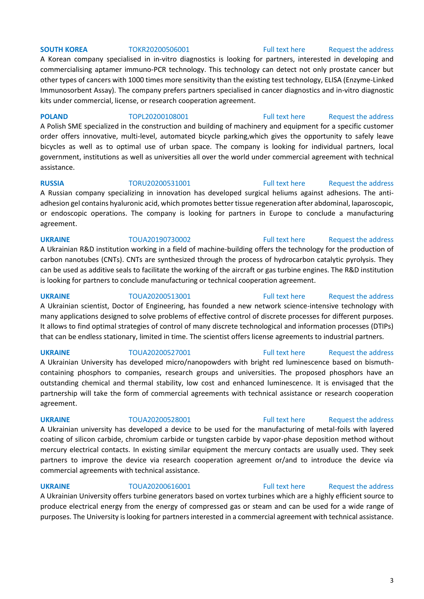### **SOUTH KOREA** TOKR20200506001 [Full text here](https://een.ec.europa.eu/tools/services/PRO/Profile/Detail/0f7e0620-3ffa-4f44-9431-1b14b247623b) Request the address

A Korean company specialised in in-vitro diagnostics is looking for partners, interested in developing and commercialising aptamer immuno-PCR technology. This technology can detect not only prostate cancer but other types of cancers with 1000 times more sensitivity than the existing test technology, ELISA (Enzyme-Linked Immunosorbent Assay). The company prefers partners specialised in cancer diagnostics and in-vitro diagnostic kits under commercial, license, or research cooperation agreement.

### **POLAND** TOPL20200108001 [Full text here](https://een.ec.europa.eu/tools/services/PRO/Profile/Detail/87ae9433-8553-4a2f-84e7-1f4359731896) Request the address

A Polish SME specialized in the construction and building of machinery and equipment for a specific customer order offers innovative, multi-level, automated bicycle parking,which gives the opportunity to safely leave bicycles as well as to optimal use of urban space. The company is looking for individual partners, local government, institutions as well as universities all over the world under commercial agreement with technical assistance.

**RUSSIA** TORU20200531001 [Full text here](https://een.ec.europa.eu/tools/services/PRO/Profile/Detail/a770faae-3af7-4c14-b8d8-c03575df6312) Request the address A Russian company specializing in innovation has developed surgical heliums against adhesions. The antiadhesion gel contains hyaluronic acid, which promotes better tissue regeneration after abdominal, laparoscopic, or endoscopic operations. The company is looking for partners in Europe to conclude a manufacturing agreement.

### **UKRAINE** TOUA20190730002 [Full text here](https://een.ec.europa.eu/tools/services/PRO/Profile/Detail/6439a9a7-0c63-484a-99f9-d95f50ce10f9) [Request the address](http://www.een.bg/index.php?option=com_rsform&formId=13)

A Ukrainian R&D institution working in a field of machine-building offers the technology for the production of carbon nanotubes (CNTs). CNTs are synthesized through the process of hydrocarbon catalytic pyrolysis. They can be used as additive seals to facilitate the working of the aircraft or gas turbine engines. The R&D institution is looking for partners to conclude manufacturing or technical cooperation agreement.

### **UKRAINE** TOUA20200513001 [Full text here](https://een.ec.europa.eu/tools/services/PRO/Profile/Detail/7726fa33-45bb-4d7a-bbb8-98606201abc9) Request the address

A Ukrainian scientist, Doctor of Engineering, has founded a new network science-intensive technology with many applications designed to solve problems of effective control of discrete processes for different purposes. It allows to find optimal strategies of control of many discrete technological and information processes (DTIPs) that can be endless stationary, limited in time. The scientist offers license agreements to industrial partners.

UKRAINE TOUA20200527001 [Full text here](https://een.ec.europa.eu/tools/services/PRO/Profile/Detail/e97c28dd-d7eb-499b-a0ed-e2f0dc6a4082) Request the address A Ukrainian University has developed micro/nanopowders with bright red luminescence based on bismuthcontaining phosphors to companies, research groups and universities. The proposed phosphors have an outstanding chemical and thermal stability, low cost and enhanced luminescence. It is envisaged that the partnership will take the form of commercial agreements with technical assistance or research cooperation agreement.

### **UKRAINE** TOUA20200528001 [Full text here](https://een.ec.europa.eu/tools/services/PRO/Profile/Detail/43b1e400-9e40-4eec-bc5b-53f585fd31cf) Request the address

A Ukrainian university has developed a device to be used for the manufacturing of metal-foils with layered coating of silicon carbide, chromium carbide or tungsten carbide by vapor-phase deposition method without mercury electrical contacts. In existing similar equipment the mercury contacts are usually used. They seek partners to improve the device via research cooperation agreement or/and to introduce the device via commercial agreements with technical assistance.

### **UKRAINE** TOUA20200616001 [Full text here](https://een.ec.europa.eu/tools/services/PRO/Profile/Detail/a249e233-6538-433b-b511-99137da6903e) Request the address

A Ukrainian University offers turbine generators based on vortex turbines which are a highly efficient source to produce electrical energy from the energy of compressed gas or steam and can be used for a wide range of purposes. The University is looking for partners interested in a commercial agreement with technical assistance.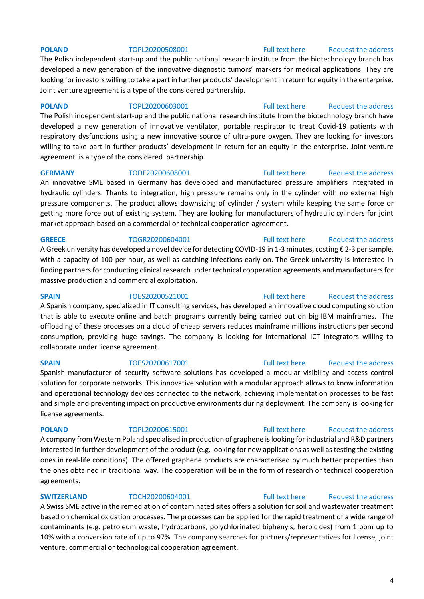**POLAND** TOPL20200508001 [Full text here](https://een.ec.europa.eu/tools/services/PRO/Profile/Detail/c09a55d9-db43-469d-9865-fd98de2b06a2) Request the address

The Polish independent start-up and the public national research institute from the biotechnology branch has developed a new generation of the innovative diagnostic tumors' markers for medical applications. They are looking for investors willing to take a part in further products' development in return for equity in the enterprise. Joint venture agreement is a type of the considered partnership.

**POLAND** TOPL20200603001 [Full text here](https://een.ec.europa.eu/tools/services/PRO/Profile/Detail/1d7bcf91-f9b1-4ca6-bf32-a8d687812628) Request the address The Polish independent start-up and the public national research institute from the biotechnology branch have developed a new generation of innovative ventilator, portable respirator to treat Covid-19 patients with respiratory dysfunctions using a new innovative source of ultra-pure oxygen. They are looking for investors

willing to take part in further products' development in return for an equity in the enterprise. Joint venture agreement is a type of the considered partnership.

**GERMANY** TODE20200608001 [Full text here](https://een.ec.europa.eu/tools/services/PRO/Profile/Detail/1f7a3cac-37a5-40b1-8f02-d636774403ba) Request the address An innovative SME based in Germany has developed and manufactured pressure amplifiers integrated in hydraulic cylinders. Thanks to integration, high pressure remains only in the cylinder with no external high pressure components. The product allows downsizing of cylinder / system while keeping the same force or getting more force out of existing system. They are looking for manufacturers of hydraulic cylinders for joint market approach based on a commercial or technical cooperation agreement.

**GREECE** TOGR20200604001 [Full text here](https://een.ec.europa.eu/tools/services/PRO/Profile/Detail/da76fea5-0790-4848-8ced-616caef4b32d) Request the address A Greek university has developed a novel device for detecting COVID-19 in 1-3 minutes, costing € 2-3 per sample, with a capacity of 100 per hour, as well as catching infections early on. The Greek university is interested in finding partners for conducting clinical research under technical cooperation agreements and manufacturers for massive production and commercial exploitation.

**SPAIN** TOES20200521001 [Full text here](https://een.ec.europa.eu/tools/services/PRO/Profile/Detail/430d3965-e5e8-4e2f-88e5-fe67f65ec373) Request the address A Spanish company, specialized in IT consulting services, has developed an innovative cloud computing solution that is able to execute online and batch programs currently being carried out on big IBM mainframes. The offloading of these processes on a cloud of cheap servers reduces mainframe millions instructions per second consumption, providing huge savings. The company is looking for international ICT integrators willing to collaborate under license agreement.

Spanish manufacturer of security software solutions has developed a modular visibility and access control solution for corporate networks. This innovative solution with a modular approach allows to know information and operational technology devices connected to the network, achieving implementation processes to be fast and simple and preventing impact on productive environments during deployment. The company is looking for license agreements.

A company from Western Poland specialised in production of graphene is looking for industrial and R&D partners interested in further development of the product (e.g. looking for new applications as well as testing the existing ones in real-life conditions). The offered graphene products are characterised by much better properties than the ones obtained in traditional way. The cooperation will be in the form of research or technical cooperation agreements.

### **SWITZERLAND** TOCH20200604001 [Full text here](https://een.ec.europa.eu/tools/services/PRO/Profile/Detail/9c563e44-959a-4623-8d0d-24a00c6bd664) Request the address

A Swiss SME active in the remediation of contaminated sites offers a solution for soil and wastewater treatment based on chemical oxidation processes. The processes can be applied for the rapid treatment of a wide range of contaminants (e.g. petroleum waste, hydrocarbons, polychlorinated biphenyls, herbicides) from 1 ppm up to 10% with a conversion rate of up to 97%. The company searches for partners/representatives for license, joint venture, commercial or technological cooperation agreement.

### 4

# **SPAIN** TOES20200617001 [Full text here](https://een.ec.europa.eu/tools/services/PRO/Profile/Detail/369b9c16-7867-46e7-b588-78694134a54e) Request the address

# **POLAND** TOPL20200615001 [Full text here](https://een.ec.europa.eu/tools/services/PRO/Profile/Detail/a346987c-68fd-44f5-98a2-2fc1eb1a6f27) Request the address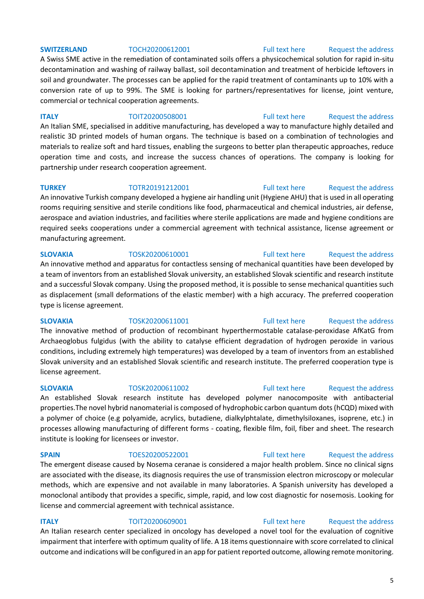A Swiss SME active in the remediation of contaminated soils offers a physicochemical solution for rapid in-situ decontamination and washing of railway ballast, soil decontamination and treatment of herbicide leftovers in soil and groundwater. The processes can be applied for the rapid treatment of contaminants up to 10% with a conversion rate of up to 99%. The SME is looking for partners/representatives for license, joint venture, commercial or technical cooperation agreements.

### **ITALY TOIT20200508001** [Full text here](https://een.ec.europa.eu/tools/services/PRO/Profile/Detail/8d117238-f4b8-40c0-a595-d716714609bc) Request the address

An Italian SME, specialised in additive manufacturing, has developed a way to manufacture highly detailed and realistic 3D printed models of human organs. The technique is based on a combination of technologies and materials to realize soft and hard tissues, enabling the surgeons to better plan therapeutic approaches, reduce operation time and costs, and increase the success chances of operations. The company is looking for partnership under research cooperation agreement.

### **TURKEY** TOTR20191212001 [Full text here](https://een.ec.europa.eu/tools/services/PRO/Profile/Detail/5ed8b040-c5d4-4899-a03b-57d0caa20d76) Request the address

An innovative Turkish company developed a hygiene air handling unit (Hygiene AHU) that is used in all operating rooms requiring sensitive and sterile conditions like food, pharmaceutical and chemical industries, air defense, aerospace and aviation industries, and facilities where sterile applications are made and hygiene conditions are required seeks cooperations under a commercial agreement with technical assistance, license agreement or manufacturing agreement.

### **SLOVAKIA** TOSK20200610001 [Full text here](https://een.ec.europa.eu/tools/services/PRO/Profile/Detail/e2742aa1-0efa-4c5e-b162-8e4e24be3e13) Request the address An innovative method and apparatus for contactless sensing of mechanical quantities have been developed by a team of inventors from an established Slovak university, an established Slovak scientific and research institute and a successful Slovak company. Using the proposed method, it is possible to sense mechanical quantities such as displacement (small deformations of the elastic member) with a high accuracy. The preferred cooperation type is license agreement.

# **SLOVAKIA** TOSK20200611001 [Full text here](https://een.ec.europa.eu/tools/services/PRO/Profile/Detail/1e0f5a8c-430d-4a9b-b228-558a1d02001e) Request the address

The innovative method of production of recombinant hyperthermostable catalase-peroxidase AfKatG from Archaeoglobus fulgidus (with the ability to catalyse efficient degradation of hydrogen peroxide in various conditions, including extremely high temperatures) was developed by a team of inventors from an established Slovak university and an established Slovak scientific and research institute. The preferred cooperation type is license agreement.

An established Slovak research institute has developed polymer nanocomposite with antibacterial properties.The novel hybrid nanomaterial is composed of hydrophobic carbon quantum dots (hCQD) mixed with a polymer of choice (e.g polyamide, acrylics, butadiene, dialkylphtalate, dimethylsiloxanes, isoprene, etc.) in processes allowing manufacturing of different forms - coating, flexible film, foil, fiber and sheet. The research institute is looking for licensees or investor.

### **SPAIN** TOES20200522001 [Full text here](https://een.ec.europa.eu/tools/services/PRO/Profile/Detail/a774ff2a-3a0b-4ac5-b844-fbe37e35a9e1) Request the address

The emergent disease caused by Nosema ceranae is considered a major health problem. Since no clinical signs are associated with the disease, its diagnosis requires the use of transmission electron microscopy or molecular methods, which are expensive and not available in many laboratories. A Spanish university has developed a monoclonal antibody that provides a specific, simple, rapid, and low cost diagnostic for nosemosis. Looking for license and commercial agreement with technical assistance.

**ITALY TOIT20200609001** [Full text here](https://een.ec.europa.eu/tools/services/PRO/Profile/Detail/24538d3c-f8f8-47bf-8269-78a57827e137) Request the address An Italian research center specialized in oncology has developed a novel tool for the evaluation of cognitive impairment that interfere with optimum quality of life. A 18 items questionnaire with score correlated to clinical outcome and indications will be configured in an app for patient reported outcome, allowing remote monitoring.

# **SLOVAKIA** TOSK20200611002 [Full text here](https://een.ec.europa.eu/tools/services/PRO/Profile/Detail/c276d4e4-c7d6-4d5b-bfc5-57fb6c8591ab) [Request the address](http://www.een.bg/index.php?option=com_rsform&formId=13)

### 5

# **SWITZERLAND** TOCH20200612001 [Full text here](https://een.ec.europa.eu/tools/services/PRO/Profile/Detail/6abd425c-4572-4f95-80bf-5d91d3339ff0) Request the address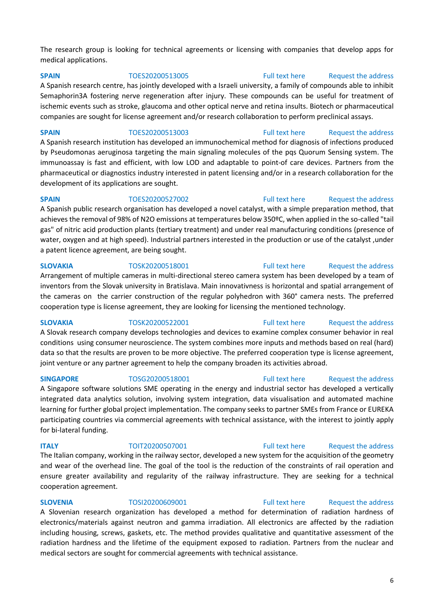The research group is looking for technical agreements or licensing with companies that develop apps for medical applications.

**SPAIN** TOES20200513005 [Full text here](https://een.ec.europa.eu/tools/services/PRO/Profile/Detail/21246b4e-5062-4d5f-bdd2-e912bb608218) Request the address

A Spanish research centre, has jointly developed with a Israeli university, a family of compounds able to inhibit Semaphorin3A fostering nerve regeneration after injury. These compounds can be useful for treatment of ischemic events such as stroke, glaucoma and other optical nerve and retina insults. Biotech or pharmaceutical companies are sought for license agreement and/or research collaboration to perform preclinical assays.

**SPAIN** TOES20200513003 [Full text here](https://een.ec.europa.eu/tools/services/PRO/Profile/Detail/94c4e50e-5918-43df-9d5e-9f41f7801970) Request the address A Spanish research institution has developed an immunochemical method for diagnosis of infections produced by Pseudomonas aeruginosa targeting the main signaling molecules of the pqs Quorum Sensing system. The immunoassay is fast and efficient, with low LOD and adaptable to point-of care devices. Partners from the pharmaceutical or diagnostics industry interested in patent licensing and/or in a research collaboration for the development of its applications are sought.

**SPAIN** TOES20200527002 [Full text here](https://een.ec.europa.eu/tools/services/PRO/Profile/Detail/8678f87b-d340-4574-afdd-4eafaf5a7d0f) Request the address A Spanish public research organisation has developed a novel catalyst, with a simple preparation method, that achieves the removal of 98% of N2O emissions at temperatures below 350ºC, when applied in the so-called "tail gas" of nitric acid production plants (tertiary treatment) and under real manufacturing conditions (presence of water, oxygen and at high speed). Industrial partners interested in the production or use of the catalyst ,under a patent licence agreement, are being sought.

**SLOVAKIA** TOSK20200518001 [Full text here](https://een.ec.europa.eu/tools/services/PRO/Profile/Detail/ef4458a4-97ce-49ef-892c-cba0baaa5519) Request the address Arrangement of multiple cameras in multi-directional stereo camera system has been developed by a team of inventors from the Slovak university in Bratislava. Main innovativness is horizontal and spatial arrangement of the cameras on the carrier construction of the regular polyhedron with 360° camera nests. The preferred cooperation type is license agreement, they are looking for licensing the mentioned technology.

### **SLOVAKIA** TOSK20200522001 [Full text here](https://een.ec.europa.eu/tools/services/PRO/Profile/Detail/b3d8b375-3563-43fd-85ae-df87496e0a17) [Request the address](http://www.een.bg/index.php?option=com_rsform&formId=13)

A Slovak research company develops technologies and devices to examine complex consumer behavior in real conditions using consumer neuroscience. The system combines more inputs and methods based on real (hard) data so that the results are proven to be more objective. The preferred cooperation type is license agreement, joint venture or any partner agreement to help the company broaden its activities abroad.

### **SINGAPORE** TOSG20200518001 [Full text here](https://een.ec.europa.eu/tools/services/PRO/Profile/Detail/15674e2a-3ff1-42f4-a67f-7293bbac690a) Request the address

A Singapore software solutions SME operating in the energy and industrial sector has developed a vertically integrated data analytics solution, involving system integration, data visualisation and automated machine learning for further global project implementation. The company seeks to partner SMEs from France or EUREKA participating countries via commercial agreements with technical assistance, with the interest to jointly apply for bi-lateral funding.

### **ITALY TOIT20200507001** [Full text here](https://een.ec.europa.eu/tools/services/PRO/Profile/Detail/74a46cf2-c768-48db-b780-e3763c039dcc) Request the address

The Italian company, working in the railway sector, developed a new system for the acquisition of the geometry and wear of the overhead line. The goal of the tool is the reduction of the constraints of rail operation and ensure greater availability and regularity of the railway infrastructure. They are seeking for a technical cooperation agreement.

# **SLOVENIA** TOSI20200609001 [Full text here](https://een.ec.europa.eu/tools/services/PRO/Profile/Detail/8689f7c7-aec0-4add-843a-91f493f79cee) Request the address

A Slovenian research organization has developed a method for determination of radiation hardness of electronics/materials against neutron and gamma irradiation. All electronics are affected by the radiation including housing, screws, gaskets, etc. The method provides qualitative and quantitative assessment of the radiation hardness and the lifetime of the equipment exposed to radiation. Partners from the nuclear and medical sectors are sought for commercial agreements with technical assistance.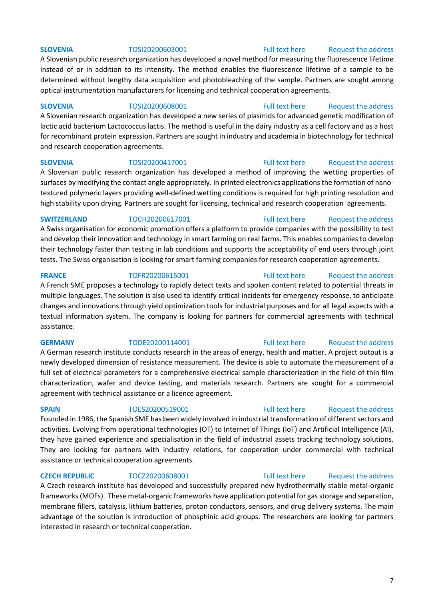A Slovenian public research organization has developed a novel method for measuring the fluorescence lifetime instead of or in addition to its intensity. The method enables the fluorescence lifetime of a sample to be determined without lengthy data acquisition and photobleaching of the sample. Partners are sought among optical instrumentation manufacturers for licensing and technical cooperation agreements.

### **SLOVENIA** TOSI20200608001 [Full text here](https://een.ec.europa.eu/tools/services/PRO/Profile/Detail/81ce7079-79e6-4eed-a1ce-9330667683e6) [Request the address](http://www.een.bg/index.php?option=com_rsform&formId=13)

A Slovenian research organization has developed a new series of plasmids for advanced genetic modification of lactic acid bacterium Lactococcus lactis. The method is useful in the dairy industry as a cell factory and as a host for recombinant protein expression. Partners are sought in industry and academia in biotechnology for technical and research cooperation agreements.

### **SLOVENIA** TOSI20200417001 [Full text here](https://een.ec.europa.eu/tools/services/PRO/Profile/Detail/abe7693d-f810-43df-80ae-7cde8e413142) Request the address

A Slovenian public research organization has developed a method of improving the wetting properties of surfaces by modifying the contact angle appropriately. In printed electronics applications the formation of nanotextured polymeric layers providing well-defined wetting conditions is required for high printing resolution and high stability upon drying. Partners are sought for licensing, technical and research cooperation agreements.

### **SWITZERLAND** TOCH20200617001 [Full text here](https://een.ec.europa.eu/tools/services/PRO/Profile/Detail/9aa7bbb8-c91e-4456-9394-00140c6e3f7a) Request the address

A Swiss organisation for economic promotion offers a platform to provide companies with the possibility to test and develop their innovation and technology in smart farming on real farms. This enables companies to develop their technology faster than testing in lab conditions and supports the acceptability of end users through joint tests. The Swiss organisation is looking for smart farming companies for research cooperation agreements.

**FRANCE** TOFR20200615001 [Full text here](https://een.ec.europa.eu/tools/services/PRO/Profile/Detail/30a8ab7c-ca32-48d0-bc2d-0bb168f7cf37) Request the address A French SME proposes a technology to rapidly detect texts and spoken content related to potential threats in multiple languages. The solution is also used to identify critical incidents for emergency response, to anticipate changes and innovations through yield optimization tools for industrial purposes and for all legal aspects with a textual information system. The company is looking for partners for commercial agreements with technical assistance.

A German research institute conducts research in the areas of energy, health and matter. A project output is a newly developed dimension of resistance measurement. The device is able to automate the measurement of a full set of electrical parameters for a comprehensive electrical sample characterization in the field of thin film characterization, wafer and device testing, and materials research. Partners are sought for a commercial agreement with technical assistance or a licence agreement.

**SPAIN** TOES20200519001 [Full text here](https://een.ec.europa.eu/tools/services/PRO/Profile/Detail/568d24bc-5b9d-43a8-811a-9d910da49a92) Request the address Founded in 1986, the Spanish SME has been widely involved in industrial transformation of different sectors and activities. Evolving from operational technologies (OT) to Internet of Things (IoT) and Artificial Intelligence (AI), they have gained experience and specialisation in the field of industrial assets tracking technology solutions. They are looking for partners with industry relations, for cooperation under commercial with technical assistance or technical cooperation agreements.

A Czech research institute has developed and successfully prepared new hydrothermally stable metal-organic frameworks (MOFs). These metal-organic frameworks have application potential for gas storage and separation, membrane fillers, catalysis, lithium batteries, proton conductors, sensors, and drug delivery systems. The main advantage of the solution is introduction of phosphinic acid groups. The researchers are looking for partners interested in research or technical cooperation.

# **GERMANY** TODE20200114001 [Full text here](https://een.ec.europa.eu/tools/services/PRO/Profile/Detail/594dc638-b43e-473a-8602-66391baacbad) Request the address

### **CZECH REPUBLIC** TOCZ20200608001 [Full text here](https://een.ec.europa.eu/tools/services/PRO/Profile/Detail/807eafdb-83f9-4d87-a81f-16860351b2ba) Request the address

### **SLOVENIA** TOSI20200603001 [Full text here](https://een.ec.europa.eu/tools/services/PRO/Profile/Detail/01ab1afa-2ffb-41a3-bed6-b407aa59642b) Request the address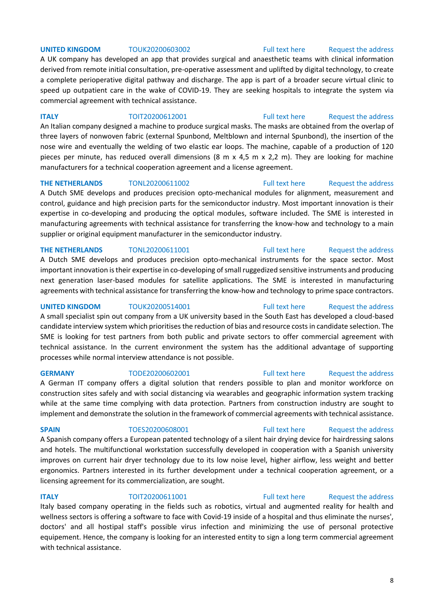### **UNITED KINGDOM** TOUK20200603002 **Full text here** Request the address

A UK company has developed an app that provides surgical and anaesthetic teams with clinical information derived from remote initial consultation, pre-operative assessment and uplifted by digital technology, to create a complete perioperative digital pathway and discharge. The app is part of a broader secure virtual clinic to speed up outpatient care in the wake of COVID-19. They are seeking hospitals to integrate the system via commercial agreement with technical assistance.

**ITALY TOIT20200612001** [Full text here](https://een.ec.europa.eu/tools/services/PRO/Profile/Detail/016f16f3-726a-49fa-ba65-0d4880a42c29) Request the address An Italian company designed a machine to produce surgical masks. The masks are obtained from the overlap of three layers of nonwoven fabric (external Spunbond, Meltblown and internal Spunbond), the insertion of the nose wire and eventually the welding of two elastic ear loops. The machine, capable of a production of 120 pieces per minute, has reduced overall dimensions (8 m x 4,5 m x 2,2 m). They are looking for machine manufacturers for a technical cooperation agreement and a license agreement.

### **THE NETHERLANDS** TONL20200611002 **Full text here** Request the address

A Dutch SME develops and produces precision opto-mechanical modules for alignment, measurement and control, guidance and high precision parts for the semiconductor industry. Most important innovation is their expertise in co-developing and producing the optical modules, software included. The SME is interested in manufacturing agreements with technical assistance for transferring the know-how and technology to a main supplier or original equipment manufacturer in the semiconductor industry.

### **THE NETHERLANDS** TONL20200611001 [Full text here](https://een.ec.europa.eu/tools/services/PRO/Profile/Detail/4c97bbc5-5d84-4fb3-90ae-cce4452de223) Request the address

A Dutch SME develops and produces precision opto-mechanical instruments for the space sector. Most important innovation is their expertise in co-developing of small ruggedized sensitive instruments and producing next generation laser-based modules for satellite applications. The SME is interested in manufacturing agreements with technical assistance for transferring the know-how and technology to prime space contractors.

A small specialist spin out company from a UK university based in the South East has developed a cloud-based candidate interview system which prioritises the reduction of bias and resource costs in candidate selection. The SME is looking for test partners from both public and private sectors to offer commercial agreement with technical assistance. In the current environment the system has the additional advantage of supporting processes while normal interview attendance is not possible.

A German IT company offers a digital solution that renders possible to plan and monitor workforce on construction sites safely and with social distancing via wearables and geographic information system tracking while at the same time complying with data protection. Partners from construction industry are sought to implement and demonstrate the solution in the framework of commercial agreements with technical assistance.

A Spanish company offers a European patented technology of a silent hair drying device for hairdressing salons and hotels. The multifunctional workstation successfully developed in cooperation with a Spanish university improves on current hair dryer technology due to its low noise level, higher airflow, less weight and better ergonomics. Partners interested in its further development under a technical cooperation agreement, or a licensing agreement for its commercialization, are sought.

### **ITALY TOIT20200611001** [Full text here](https://een.ec.europa.eu/tools/services/PRO/Profile/Detail/59c2b568-e43e-4fb5-afe9-4e2a458f1da9) Request the address

Italy based company operating in the fields such as robotics, virtual and augmented reality for health and wellness sectors is offering a software to face with Covid-19 inside of a hospital and thus eliminate the nurses', doctors' and all hostipal staff's possible virus infection and minimizing the use of personal protective equipement. Hence, the company is looking for an interested entity to sign a long term commercial agreement with technical assistance.

### 8

# **UNITED KINGDOM** TOUK20200514001 **Full text here** Request the address

# **GERMANY** TODE20200602001 [Full text here](https://een.ec.europa.eu/tools/services/PRO/Profile/Detail/a4636878-5d58-4479-a7e3-1d693c3e94ce) Request the address

### **SPAIN** TOES20200608001 [Full text here](https://een.ec.europa.eu/tools/services/PRO/Profile/Detail/5f71b24c-dfda-4ad0-9d17-97cb65ad6244) Request the address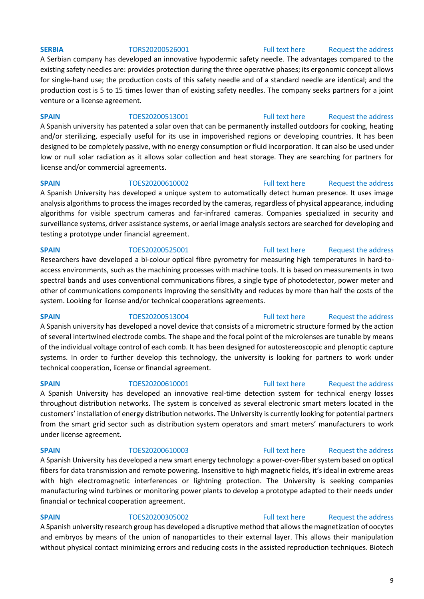### **SERBIA** TORS20200526001 [Full text here](https://een.ec.europa.eu/tools/services/PRO/Profile/Detail/c3f9b204-e068-4ef3-9719-fd923c5c040b) Request the address

A Serbian company has developed an innovative hypodermic safety needle. The advantages compared to the existing safety needles are: provides protection during the three operative phases; its ergonomic concept allows for single-hand use; the production costs of this safety needle and of a standard needle are identical; and the production cost is 5 to 15 times lower than of existing safety needles. The company seeks partners for a joint venture or a license agreement.

**SPAIN** TOES20200513001 [Full text here](https://een.ec.europa.eu/tools/services/PRO/Profile/Detail/21198c91-c150-42bd-91ed-82ce0baa88d4) Request the address

A Spanish university has patented a solar oven that can be permanently installed outdoors for cooking, heating and/or sterilizing, especially useful for its use in impoverished regions or developing countries. It has been designed to be completely passive, with no energy consumption or fluid incorporation. It can also be used under low or null solar radiation as it allows solar collection and heat storage. They are searching for partners for license and/or commercial agreements.

**SPAIN** TOES20200610002 [Full text here](https://een.ec.europa.eu/tools/services/PRO/Profile/Detail/a9e11deb-4a83-446e-949f-847a4834667c) Request the address A Spanish University has developed a unique system to automatically detect human presence. It uses image analysis algorithms to process the images recorded by the cameras, regardless of physical appearance, including algorithms for visible spectrum cameras and far-infrared cameras. Companies specialized in security and surveillance systems, driver assistance systems, or aerial image analysis sectors are searched for developing and testing a prototype under financial agreement.

**SPAIN** TOES20200525001 [Full text here](https://een.ec.europa.eu/tools/services/PRO/Profile/Detail/e11a3587-e4a3-4e23-a7fa-f7b9f29d48da) Request the address

Researchers have developed a bi-colour optical fibre pyrometry for measuring high temperatures in hard-toaccess environments, such as the machining processes with machine tools. It is based on measurements in two spectral bands and uses conventional communications fibres, a single type of photodetector, power meter and other of communications components improving the sensitivity and reduces by more than half the costs of the system. Looking for license and/or technical cooperations agreements.

A Spanish university has developed a novel device that consists of a micrometric structure formed by the action of several intertwined electrode combs. The shape and the focal point of the microlenses are tunable by means of the individual voltage control of each comb. It has been designed for autostereoscopic and plenoptic capture systems. In order to further develop this technology, the university is looking for partners to work under technical cooperation, license or financial agreement.

**SPAIN** TOES20200610001 [Full text here](https://een.ec.europa.eu/tools/services/PRO/Profile/Detail/049bf4b8-db8a-4bb6-a643-ab621f49c118) Request the address A Spanish University has developed an innovative real-time detection system for technical energy losses throughout distribution networks. The system is conceived as several electronic smart meters located in the customers' installation of energy distribution networks. The University is currently looking for potential partners from the smart grid sector such as distribution system operators and smart meters' manufacturers to work under license agreement.

## A Spanish University has developed a new smart energy technology: a power-over-fiber system based on optical fibers for data transmission and remote powering. Insensitive to high magnetic fields, it's ideal in extreme areas with high electromagnetic interferences or lightning protection. The University is seeking companies manufacturing wind turbines or monitoring power plants to develop a prototype adapted to their needs under financial or technical cooperation agreement.

**SPAIN** TOES20200305002 [Full text here](https://een.ec.europa.eu/tools/services/PRO/Profile/Detail/10310f71-177f-4199-838f-60100aaf222e) Request the address A Spanish university research group has developed a disruptive method that allows the magnetization of oocytes and embryos by means of the union of nanoparticles to their external layer. This allows their manipulation without physical contact minimizing errors and reducing costs in the assisted reproduction techniques. Biotech

# **SPAIN** TOES20200513004 [Full text here](https://een.ec.europa.eu/tools/services/PRO/Profile/Detail/73ca0cec-f01a-40b4-9b95-8ceaca1a483f) Request the address

# **SPAIN** TOES20200610003 [Full text here](https://een.ec.europa.eu/tools/services/PRO/Profile/Detail/bbfc355c-cb75-4b26-a55d-cb2adc9832ae) Request the address